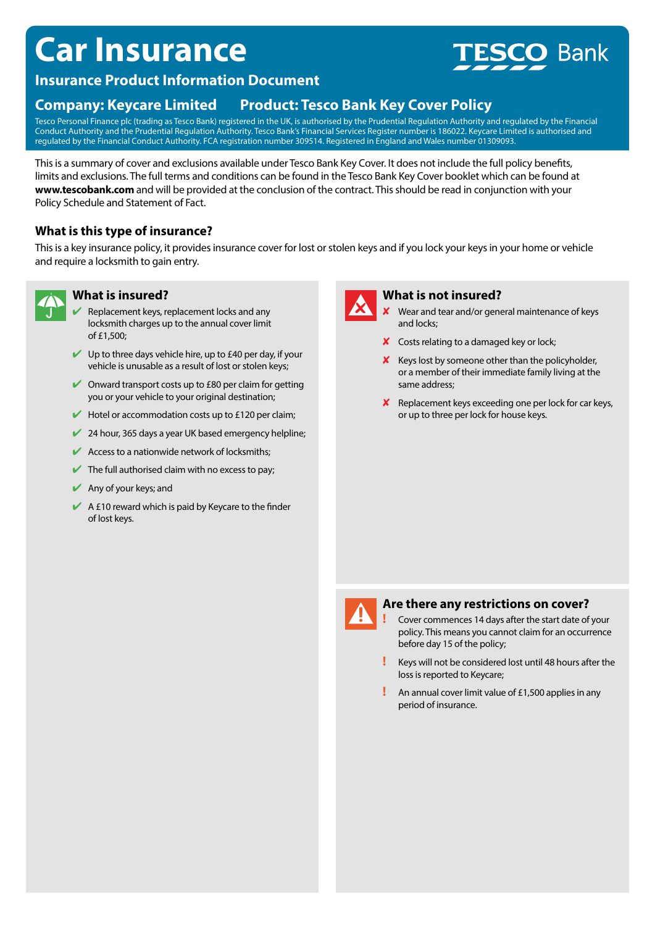# **Car Insurance**



### **Insurance Product Information Document**

## **Company: Keycare Limited Product: Tesco Bank Key Cover Policy**

Tesco Personal Finance plc (trading as Tesco Bank) registered in the UK, is authorised by the Prudential Regulation Authority and regulated by the Financial Conduct Authority and the Prudential Regulation Authority. Tesco Bank's Financial Services Register number is 186022. Keycare Limited is authorised and regulated by the Financial Conduct Authority. FCA registration number 309514. Registered in England and Wales number 01309093.

This is a summary of cover and exclusions available under Tesco Bank Key Cover. It does not include the full policy benefits, limits and exclusions. The full terms and conditions can be found in the Tesco Bank Key Cover booklet which can be found at **www.tescobank.com** and will be provided at the conclusion of the contract. This should be read in conjunction with your Policy Schedule and Statement of Fact.

#### **What is this type of insurance?**

This is a key insurance policy, it provides insurance cover for lost or stolen keys and if you lock your keys in your home or vehicle and require a locksmith to gain entry.



#### **What is insured?**

- Replacement keys, replacement locks and any locksmith charges up to the annual cover limit of £1,500;
- $\vee$  Up to three days vehicle hire, up to £40 per day, if your vehicle is unusable as a result of lost or stolen keys;
- $\triangleright$  Onward transport costs up to £80 per claim for getting you or your vehicle to your original destination;
- $\blacktriangleright$  Hotel or accommodation costs up to £120 per claim;
- $24$  hour, 365 days a year UK based emergency helpline;
- $\blacktriangleright$  Access to a nationwide network of locksmiths;
- $\blacktriangleright$  The full authorised claim with no excess to pay;
- $\blacktriangleright$  Any of your keys; and
- $\blacktriangleright$  A £10 reward which is paid by Keycare to the finder of lost keys.



#### **What is not insured?**

- Wear and tear and/or general maintenance of keys and locks;
- $\boldsymbol{\times}$  Costs relating to a damaged key or lock;
- $\boldsymbol{\mathsf{X}}$  Keys lost by someone other than the policyholder, or a member of their immediate family living at the same address;
- $\boldsymbol{\mathsf{X}}$  Replacement keys exceeding one per lock for car keys, or up to three per lock for house keys.



#### **Are there any restrictions on cover?**

**!** Cover commences 14 days after the start date of your policy. This means you cannot claim for an occurrence before day 15 of the policy;

- **!** Keys will not be considered lost until 48 hours after the loss is reported to Keycare;
- **!** An annual cover limit value of £1,500 applies in any period of insurance.